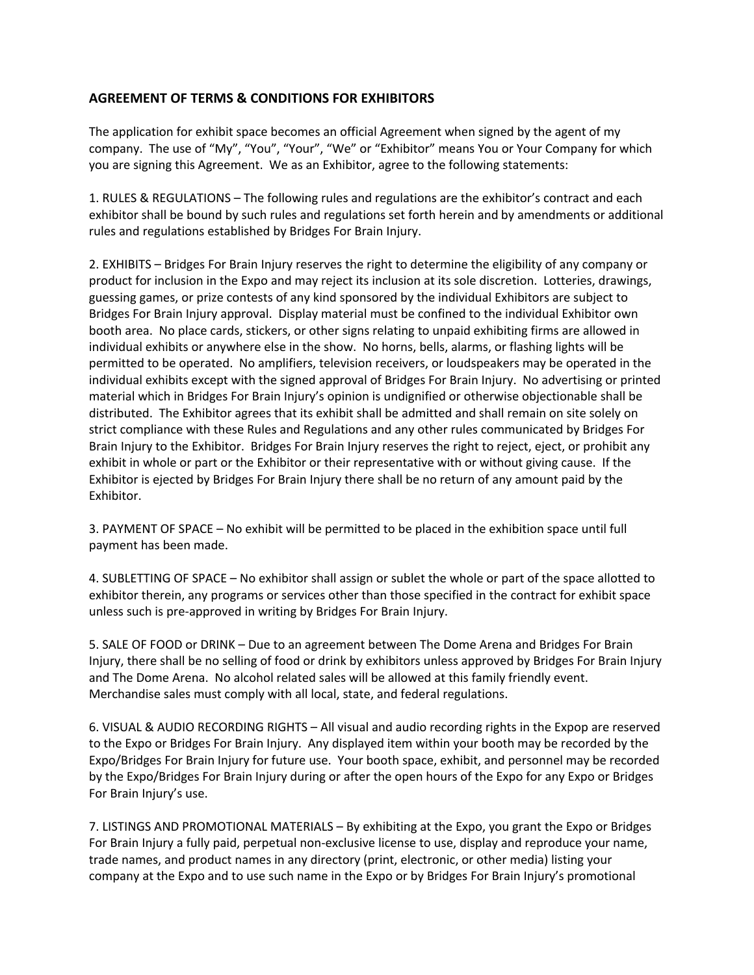## **AGREEMENT OF TERMS & CONDITIONS FOR EXHIBITORS**

The application for exhibit space becomes an official Agreement when signed by the agent of my company. The use of "My", "You", "Your", "We" or "Exhibitor" means You or Your Company for which you are signing this Agreement. We as an Exhibitor, agree to the following statements:

1. RULES & REGULATIONS – The following rules and regulations are the exhibitor's contract and each exhibitor shall be bound by such rules and regulations set forth herein and by amendments or additional rules and regulations established by Bridges For Brain Injury.

2. EXHIBITS – Bridges For Brain Injury reserves the right to determine the eligibility of any company or product for inclusion in the Expo and may reject its inclusion at its sole discretion. Lotteries, drawings, guessing games, or prize contests of any kind sponsored by the individual Exhibitors are subject to Bridges For Brain Injury approval. Display material must be confined to the individual Exhibitor own booth area. No place cards, stickers, or other signs relating to unpaid exhibiting firms are allowed in individual exhibits or anywhere else in the show. No horns, bells, alarms, or flashing lights will be permitted to be operated. No amplifiers, television receivers, or loudspeakers may be operated in the individual exhibits except with the signed approval of Bridges For Brain Injury. No advertising or printed material which in Bridges For Brain Injury's opinion is undignified or otherwise objectionable shall be distributed. The Exhibitor agrees that its exhibit shall be admitted and shall remain on site solely on strict compliance with these Rules and Regulations and any other rules communicated by Bridges For Brain Injury to the Exhibitor. Bridges For Brain Injury reserves the right to reject, eject, or prohibit any exhibit in whole or part or the Exhibitor or their representative with or without giving cause. If the Exhibitor is ejected by Bridges For Brain Injury there shall be no return of any amount paid by the Exhibitor.

3. PAYMENT OF SPACE – No exhibit will be permitted to be placed in the exhibition space until full payment has been made.

4. SUBLETTING OF SPACE – No exhibitor shall assign or sublet the whole or part of the space allotted to exhibitor therein, any programs or services other than those specified in the contract for exhibit space unless such is pre-approved in writing by Bridges For Brain Injury.

5. SALE OF FOOD or DRINK – Due to an agreement between The Dome Arena and Bridges For Brain Injury, there shall be no selling of food or drink by exhibitors unless approved by Bridges For Brain Injury and The Dome Arena. No alcohol related sales will be allowed at this family friendly event. Merchandise sales must comply with all local, state, and federal regulations.

6. VISUAL & AUDIO RECORDING RIGHTS – All visual and audio recording rights in the Expop are reserved to the Expo or Bridges For Brain Injury. Any displayed item within your booth may be recorded by the Expo/Bridges For Brain Injury for future use. Your booth space, exhibit, and personnel may be recorded by the Expo/Bridges For Brain Injury during or after the open hours of the Expo for any Expo or Bridges For Brain Injury's use.

7. LISTINGS AND PROMOTIONAL MATERIALS – By exhibiting at the Expo, you grant the Expo or Bridges For Brain Injury a fully paid, perpetual non-exclusive license to use, display and reproduce your name, trade names, and product names in any directory (print, electronic, or other media) listing your company at the Expo and to use such name in the Expo or by Bridges For Brain Injury's promotional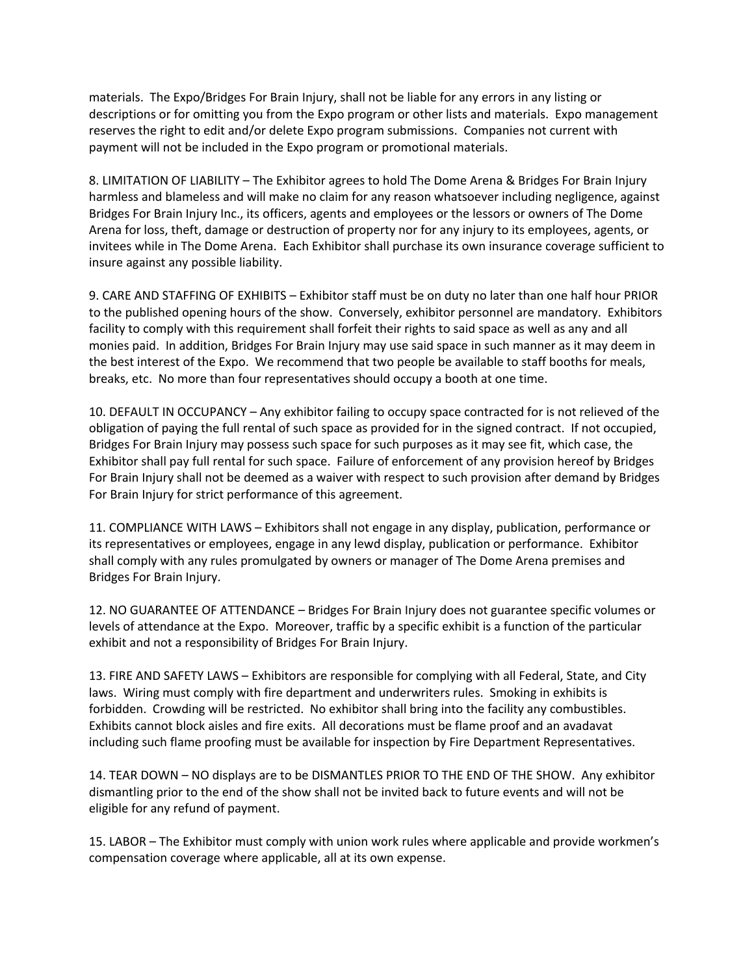materials. The Expo/Bridges For Brain Injury, shall not be liable for any errors in any listing or descriptions or for omitting you from the Expo program or other lists and materials. Expo management reserves the right to edit and/or delete Expo program submissions. Companies not current with payment will not be included in the Expo program or promotional materials.

8. LIMITATION OF LIABILITY – The Exhibitor agrees to hold The Dome Arena & Bridges For Brain Injury harmless and blameless and will make no claim for any reason whatsoever including negligence, against Bridges For Brain Injury Inc., its officers, agents and employees or the lessors or owners of The Dome Arena for loss, theft, damage or destruction of property nor for any injury to its employees, agents, or invitees while in The Dome Arena. Each Exhibitor shall purchase its own insurance coverage sufficient to insure against any possible liability.

9. CARE AND STAFFING OF EXHIBITS – Exhibitor staff must be on duty no later than one half hour PRIOR to the published opening hours of the show. Conversely, exhibitor personnel are mandatory. Exhibitors facility to comply with this requirement shall forfeit their rights to said space as well as any and all monies paid. In addition, Bridges For Brain Injury may use said space in such manner as it may deem in the best interest of the Expo. We recommend that two people be available to staff booths for meals, breaks, etc. No more than four representatives should occupy a booth at one time.

10. DEFAULT IN OCCUPANCY – Any exhibitor failing to occupy space contracted for is not relieved of the obligation of paying the full rental of such space as provided for in the signed contract. If not occupied, Bridges For Brain Injury may possess such space for such purposes as it may see fit, which case, the Exhibitor shall pay full rental for such space. Failure of enforcement of any provision hereof by Bridges For Brain Injury shall not be deemed as a waiver with respect to such provision after demand by Bridges For Brain Injury for strict performance of this agreement.

11. COMPLIANCE WITH LAWS – Exhibitors shall not engage in any display, publication, performance or its representatives or employees, engage in any lewd display, publication or performance. Exhibitor shall comply with any rules promulgated by owners or manager of The Dome Arena premises and Bridges For Brain Injury.

12. NO GUARANTEE OF ATTENDANCE – Bridges For Brain Injury does not guarantee specific volumes or levels of attendance at the Expo. Moreover, traffic by a specific exhibit is a function of the particular exhibit and not a responsibility of Bridges For Brain Injury.

13. FIRE AND SAFETY LAWS – Exhibitors are responsible for complying with all Federal, State, and City laws. Wiring must comply with fire department and underwriters rules. Smoking in exhibits is forbidden. Crowding will be restricted. No exhibitor shall bring into the facility any combustibles. Exhibits cannot block aisles and fire exits. All decorations must be flame proof and an avadavat including such flame proofing must be available for inspection by Fire Department Representatives.

14. TEAR DOWN – NO displays are to be DISMANTLES PRIOR TO THE END OF THE SHOW. Any exhibitor dismantling prior to the end of the show shall not be invited back to future events and will not be eligible for any refund of payment.

15. LABOR – The Exhibitor must comply with union work rules where applicable and provide workmen's compensation coverage where applicable, all at its own expense.